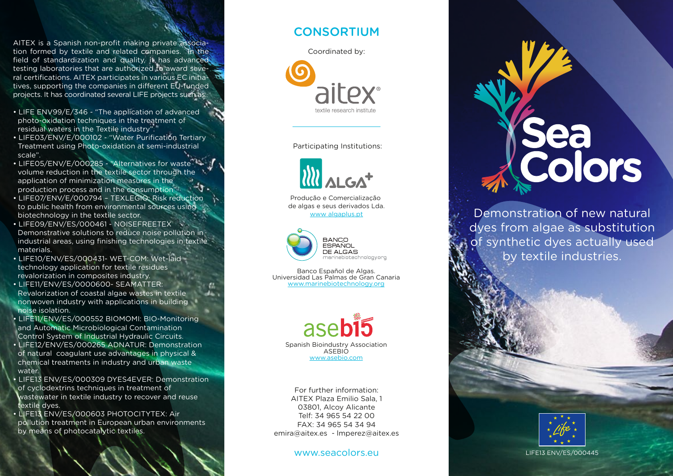AITEX is a Spanish non-profit making private association formed by textile and related companies. In the field of standardization and quality, it has advanced testing laboratories that are authorized to award several certifications. AITEX participates in various EC initiatives, supporting the companies in different EU-funded projects. It has coordinated several LIFE projects such as:

- LIFE ENV99/E/346 "The application of advanced photo-oxidation techniques in the treatment of residual waters in the Textile industry".
- LIFE03/ENV/E/000102 "Water Purification Tertiary Treatment using Photo-oxidation at semi-industrial scale".
- LIFE05/ENV/E/000285 "Alternatives for waste volume reduction in the textile sector through the application of minimization measures in the production process and in the consumption"
- LIFE07/ENV/E/000794 TEXLEGIO: Risk reduction to public health from environmental sources using biotechnology in the textile sector.
- LIFE09/ENV/ES/000461 NOISEFREETEX Demonstrative solutions to reduce noise pollution in industrial areas, using finishing technologies in textile materials.
- LIFE10/ENV/ES/000431- WET-COM: Wet-laid technology application for textile residues revalorization in composites industry.
- LIFE11/ENV/ES/0000600- SEAMATTER: Revalorization of coastal algae wastes in textile nonwoven industry with applications in building noise isolation.
- LIFE11/ENV/ES/000552 BIOMOMI: BIO-Monitoring and Automatic Microbiological Contamination Control System of Industrial Hydraulic Circuits.
- LIFE12/ENV/ES/000265 ADNATUR: Demonstration of natural coagulant use advantages in physical & chemical treatments in industry and urban waste water.
- LIFE13 ENV/ES/000309 DYES4EVER: Demonstration of cyclodextrins techniques in treatment of wastewater in textile industry to recover and reuse textile dyes.
- LIFE13 ENV/ES/000603 PHOTOCITYTEX: Air pollution treatment in European urban environments by means of photocatalytic textiles.

# **CONSORTIUM**



Participating Institutions:



Produção e Comercialização de algas e seus derivados Lda. www algaplus.pt



Banco Español de Algas. Universidad Las Palmas de Gran Canaria www.marinebiotechnology.org



For further information: AITEX Plaza Emilio Sala, 1 03801, Alcoy Alicante Telf: 34 965 54 22 00 FAX: 34 965 54 34 94 emira@aitex.es - lmperez@aitex.es

### www.seacolors.eu

# Colors

Demonstration of new natural dyes from algae as substitution of synthetic dyes actually used by textile industries.



LIFE13 ENV/ES/000445